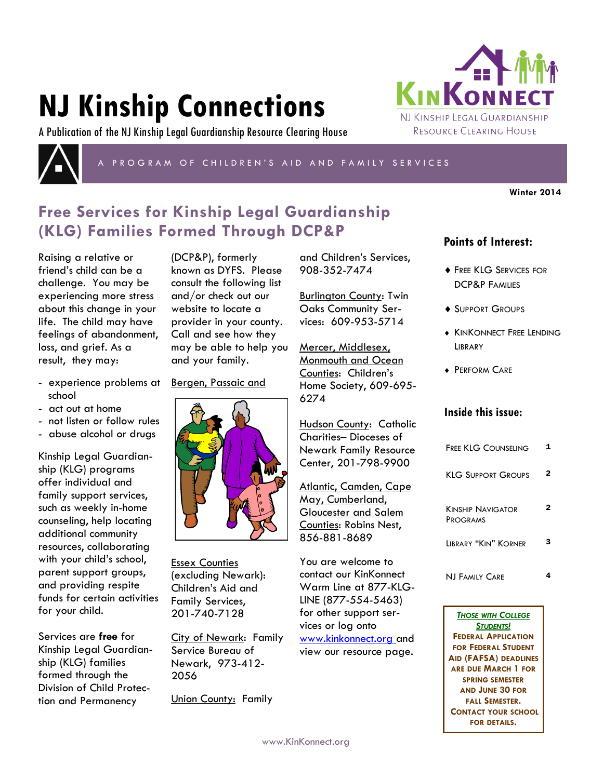# **NJ Kinship Connections**

A Publication of the NJ Kinship Legal Guardianship Resource Clearing House



P R O G R A M O F C H I L D R E N ' S A I D A N D F A M I L Y S E R V I C E S

**Winter 2014**

# **Free Services for Kinship Legal Guardianship (KLG) Families Formed Through DCP&P**

Raising a relative or friend's child can be a challenge. You may be experiencing more stress about this change in your life. The child may have feelings of abandonment, loss, and grief. As a result, they may:

- experience problems at school
- act out at home
- not listen or follow rules
- abuse alcohol or drugs

Kinship Legal Guardianship (KLG) programs offer individual and family support services, such as weekly in-home counseling, help locating additional community resources, collaborating with your child's school, parent support groups, and providing respite funds for certain activities for your child.

Services are **free** for Kinship Legal Guardianship (KLG) families formed through the Division of Child Protection and Permanency

(DCP&P), formerly known as DYFS. Please consult the following list and/or check out our website to locate a provider in your county. Call and see how they may be able to help you and your family.

Bergen, Passaic and



Essex Counties (excluding Newark): Children's Aid and Family Services, 201-740-7128

City of Newark: Family Service Bureau of Newark, 973-412- 2056

Union County: Family

and Children's Services, 908-352-7474

Burlington County: Twin Oaks Community Services: 609-953-5714

Mercer, Middlesex, Monmouth and Ocean Counties: Children's Home Society, 609-695- 6274

Hudson County: Catholic Charities– Dioceses of Newark Family Resource Center, 201-798-9900

Atlantic, Camden, Cape May, Cumberland, Gloucester and Salem Counties: Robins Nest, 856-881-8689

You are welcome to contact our KinKonnect Warm Line at 877-KLG-LINE (877-554-5463) for other support services or log onto www.kinkonnect.org and view our resource page.

# **Points of Interest:**

KINKONN

NJ KINSHIP LEGAL GUARDIANSHIP RESOURCE CLEARING HOUSE

- **FREE KLG SERVICES FOR** DCP&P FAMILIES
- ◆ SUPPORT GROUPS
- **KINKONNECT FREE LENDING LIBRARY**
- **+ PERFORM CARE**

## **Inside this issue:**

| <b>FREE KLG COUNSELING</b>                  |   |
|---------------------------------------------|---|
| KLG SUPPORT GROUPS                          | 2 |
| <b>KINSHIP NAVIGATOR</b><br><b>PROGRAMS</b> |   |
| LIBRARY "KIN" KORNER                        |   |
| NJ Family Care                              |   |

*THOSE WITH COLLEGE STUDENTS!*  **FEDERAL APPLICATION FOR FEDERAL STUDENT AID (FAFSA) DEADLINES ARE DUE MARCH 1 FOR SPRING SEMESTER AND JUNE 30 FOR FALL SEMESTER. CONTACT YOUR SCHOOL FOR DETAILS.** 

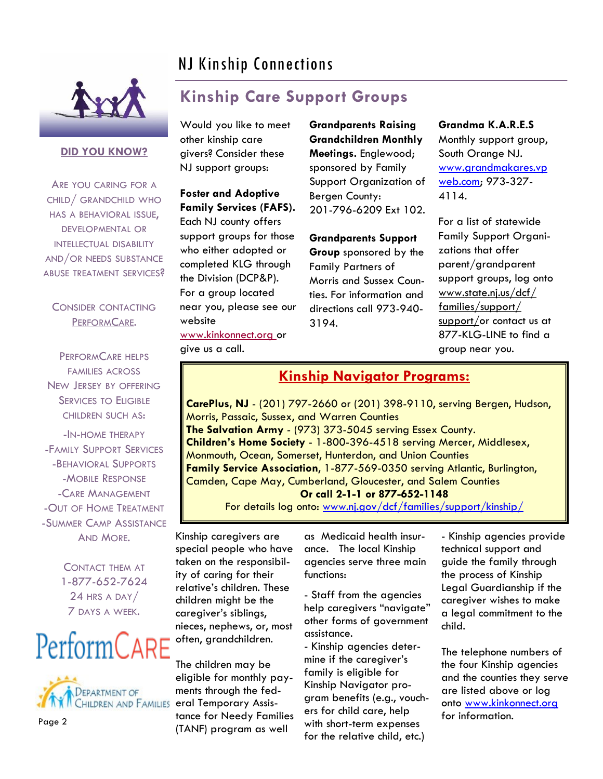# NJ Kinship Connections



### **DID YOU KNOW?**

ARE YOU CARING FOR A CHILD/ GRANDCHILD WHO HAS A BEHAVIORAL ISSUE, DEVELOPMENTAL OR INTELLECTUAL DISABILITY AND/OR NEEDS SUBSTANCE ABUSE TREATMENT SERVICES?

## CONSIDER CONTACTING PERFORMCARE.

PERFORMCARE HELPS FAMILIES ACROSS NEW JERSEY BY OFFERING **SERVICES TO ELIGIBLE** CHILDREN SUCH AS:

-IN-HOME THERAPY -FAMILY SUPPORT SERVICES -BEHAVIORAL SUPPORTS -MOBILE RESPONSE -CARE MANAGEMENT -OUT OF HOME TREATMENT -SUMMER CAMP ASSISTANCE AND MORE.

> CONTACT THEM AT 1-877-652-7624 24 HRS A DAY/ 7 DAYS A WEEK.

# PerformCARE



Page 2

# **Kinship Care Support Groups**

Would you like to meet other kinship care givers? Consider these NJ support groups:

**Foster and Adoptive Family Services (FAFS).** 

Each NJ county offers support groups for those who either adopted or completed KLG through the Division (DCP&P). For a group located near you, please see our website www.kinkonnect.org or give us a call.

**Grandparents Raising Grandchildren Monthly Meetings.** Englewood; sponsored by Family Support Organization of Bergen County: 201-796-6209 Ext 102.

### **Grandparents Support**

**Group** sponsored by the Family Partners of Morris and Sussex Counties. For information and directions call 973-940- 3194.

**Grandma K.A.R.E.S** Monthly support group, South Orange NJ. [www.grandmakares.vp](http://www.grandmakares.vpweb.com) [web.com;](http://www.grandmakares.vpweb.com) 973-327- 4114.

For a list of statewide Family Support Organizations that offer parent/grandparent support groups, log onto www.state.nj.us/dcf/ families/support/ support/or contact us at 877-KLG-LINE to find a group near you.

## **Kinship Navigator Programs:**

**CarePlus, NJ** - (201) 797-2660 or (201) 398-9110, serving Bergen, Hudson, Morris, Passaic, Sussex, and Warren Counties **The Salvation Army** - (973) 373-5045 serving Essex County. **Children's Home Society** - 1-800-396-4518 serving Mercer, Middlesex, Monmouth, Ocean, Somerset, Hunterdon, and Union Counties **Family Service Association**, 1-877-569-0350 serving Atlantic, Burlington, Camden, Cape May, Cumberland, Gloucester, and Salem Counties **Or call 2-1-1 or 877-652-1148**

For details log onto: www.nj.gov/dcf/families/support/kinship/

Kinship caregivers are special people who have taken on the responsibility of caring for their relative's children. These children might be the caregiver's siblings, nieces, nephews, or, most often, grandchildren.

The children may be eligible for monthly payments through the fed-CHILDREN AND FAMILIES eral Temporary Assistance for Needy Families (TANF) program as well

as Medicaid health insurance. The local Kinship agencies serve three main functions:

- Staff from the agencies help caregivers "navigate" other forms of government assistance.

- Kinship agencies determine if the caregiver's family is eligible for Kinship Navigator program benefits (e.g., vouchers for child care, help with short-term expenses for the relative child, etc.)

- Kinship agencies provide technical support and guide the family through the process of Kinship Legal Guardianship if the caregiver wishes to make a legal commitment to the child.

The telephone numbers of the four Kinship agencies and the counties they serve are listed above or log onto www.kinkonnect.org for information.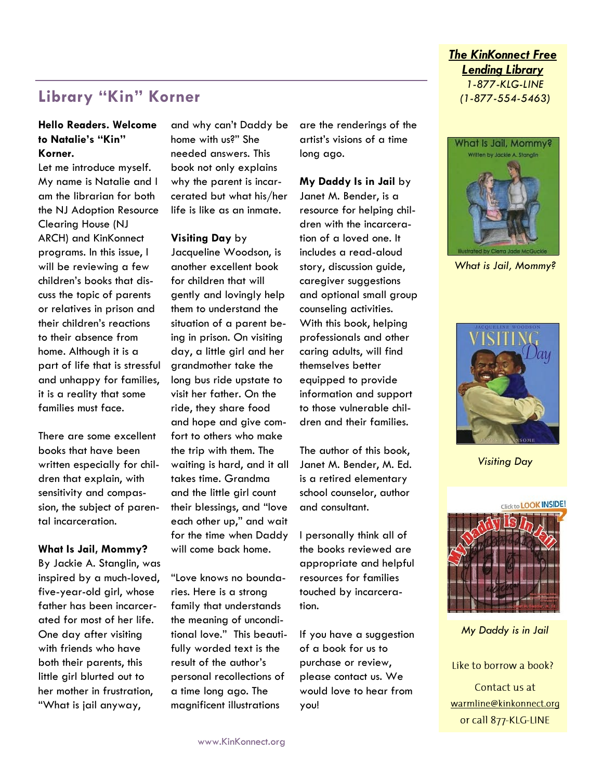# **Library "Kin" Korner**

## **Hello Readers. Welcome to Natalie's "Kin" Korner.**

Let me introduce myself. My name is Natalie and I am the librarian for both the NJ Adoption Resource Clearing House (NJ ARCH) and KinKonnect programs. In this issue, I will be reviewing a few children's books that discuss the topic of parents or relatives in prison and their children's reactions to their absence from home. Although it is a part of life that is stressful and unhappy for families, it is a reality that some families must face.

There are some excellent books that have been written especially for children that explain, with sensitivity and compassion, the subject of parental incarceration.

#### **What Is Jail, Mommy?**

By Jackie A. Stanglin, was inspired by a much-loved, five-year-old girl, whose father has been incarcerated for most of her life. One day after visiting with friends who have both their parents, this little girl blurted out to her mother in frustration, "What is jail anyway,

and why can't Daddy be home with us?" She needed answers. This book not only explains why the parent is incarcerated but what his/her life is like as an inmate.

#### **Visiting Day** by

Jacqueline Woodson, is another excellent book for children that will gently and lovingly help them to understand the situation of a parent being in prison. On visiting day, a little girl and her grandmother take the long bus ride upstate to visit her father. On the ride, they share food and hope and give comfort to others who make the trip with them. The waiting is hard, and it all takes time. Grandma and the little girl count their blessings, and "love each other up," and wait for the time when Daddy will come back home.

"Love knows no boundaries. Here is a strong family that understands the meaning of unconditional love." This beautifully worded text is the result of the author's personal recollections of a time long ago. The magnificent illustrations

are the renderings of the artist's visions of a time long ago.

#### **My Daddy Is in Jail** by

Janet M. Bender, is a resource for helping children with the incarceration of a loved one. It includes a read-aloud story, discussion guide, caregiver suggestions and optional small group counseling activities. With this book, helping professionals and other caring adults, will find themselves better equipped to provide information and support to those vulnerable children and their families.

The author of this book, Janet M. Bender, M. Ed. is a retired elementary school counselor, author and consultant.

I personally think all of the books reviewed are appropriate and helpful resources for families touched by incarceration.

If you have a suggestion of a book for us to purchase or review, please contact us. We would love to hear from you!

## *The KinKonnect Free Lending Library 1-877-KLG-LINE (1-877-554-5463)*



*What is Jail, Mommy?*



*Visiting Day*



*My Daddy is in Jail*

Like to borrow a book?

Contact us at warmline@kinkonnect.org or call 877-KLG-LINE